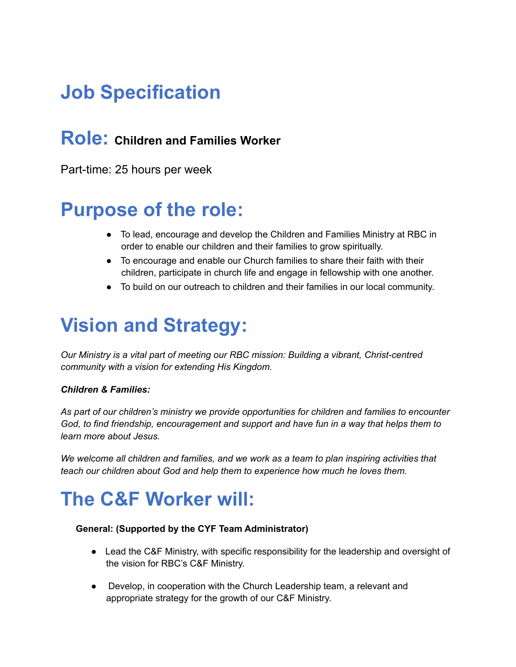# **Job Specification**

### **Role: Children and Families Worker**

Part-time: 25 hours per week

### **Purpose of the role:**

- To lead, encourage and develop the Children and Families Ministry at RBC in order to enable our children and their families to grow spiritually.
- To encourage and enable our Church families to share their faith with their children, participate in church life and engage in fellowship with one another.
- To build on our outreach to children and their families in our local community.

# **Vision and Strategy:**

*Our Ministry is a vital part of meeting our RBC mission: Building a vibrant, Christ-centred community with a vision for extending His Kingdom.*

#### *Children & Families:*

*As part of our children's ministry we provide opportunities for children and families to encounter God, to find friendship, encouragement and support and have fun in a way that helps them to learn more about Jesus.*

*We welcome all children and families, and we work as a team to plan inspiring activities that teach our children about God and help them to experience how much he loves them.*

# **The C&F Worker will:**

#### **General: (Supported by the CYF Team Administrator)**

- Lead the C&F Ministry, with specific responsibility for the leadership and oversight of the vision for RBC's C&F Ministry.
- Develop, in cooperation with the Church Leadership team, a relevant and appropriate strategy for the growth of our C&F Ministry.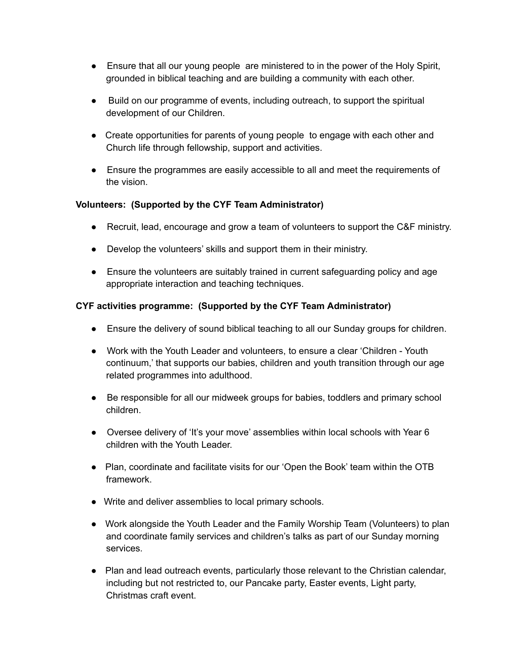- Ensure that all our young people are ministered to in the power of the Holy Spirit, grounded in biblical teaching and are building a community with each other.
- Build on our programme of events, including outreach, to support the spiritual development of our Children.
- Create opportunities for parents of young people to engage with each other and Church life through fellowship, support and activities.
- Ensure the programmes are easily accessible to all and meet the requirements of the vision.

#### **Volunteers: (Supported by the CYF Team Administrator)**

- Recruit, lead, encourage and grow a team of volunteers to support the C&F ministry.
- Develop the volunteers' skills and support them in their ministry.
- Ensure the volunteers are suitably trained in current safeguarding policy and age appropriate interaction and teaching techniques.

#### **CYF activities programme: (Supported by the CYF Team Administrator)**

- Ensure the delivery of sound biblical teaching to all our Sunday groups for children.
- Work with the Youth Leader and volunteers, to ensure a clear 'Children Youth continuum,' that supports our babies, children and youth transition through our age related programmes into adulthood.
- Be responsible for all our midweek groups for babies, toddlers and primary school children.
- Oversee delivery of 'It's your move' assemblies within local schools with Year 6 children with the Youth Leader.
- Plan, coordinate and facilitate visits for our 'Open the Book' team within the OTB framework.
- Write and deliver assemblies to local primary schools.
- Work alongside the Youth Leader and the Family Worship Team (Volunteers) to plan and coordinate family services and children's talks as part of our Sunday morning services.
- Plan and lead outreach events, particularly those relevant to the Christian calendar, including but not restricted to, our Pancake party, Easter events, Light party, Christmas craft event.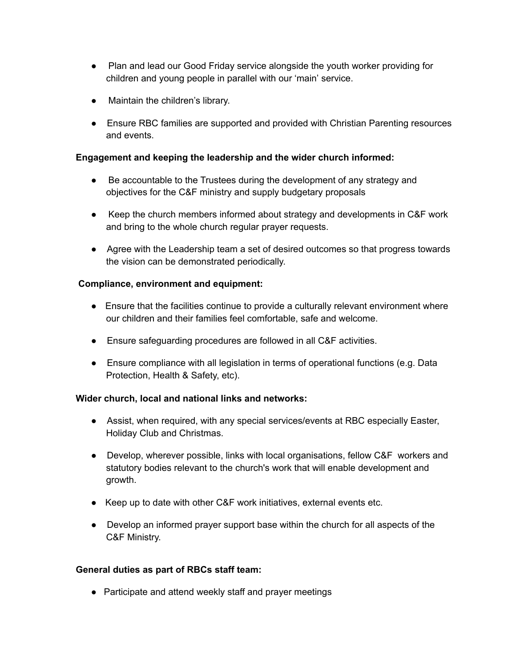- Plan and lead our Good Friday service alongside the youth worker providing for children and young people in parallel with our 'main' service.
- Maintain the children's library.
- Ensure RBC families are supported and provided with Christian Parenting resources and events.

#### **Engagement and keeping the leadership and the wider church informed:**

- Be accountable to the Trustees during the development of any strategy and objectives for the C&F ministry and supply budgetary proposals
- Keep the church members informed about strategy and developments in C&F work and bring to the whole church regular prayer requests.
- Agree with the Leadership team a set of desired outcomes so that progress towards the vision can be demonstrated periodically.

#### **Compliance, environment and equipment:**

- Ensure that the facilities continue to provide a culturally relevant environment where our children and their families feel comfortable, safe and welcome.
- Ensure safeguarding procedures are followed in all C&F activities.
- Ensure compliance with all legislation in terms of operational functions (e.g. Data Protection, Health & Safety, etc).

#### **Wider church, local and national links and networks:**

- Assist, when required, with any special services/events at RBC especially Easter, Holiday Club and Christmas.
- Develop, wherever possible, links with local organisations, fellow C&F workers and statutory bodies relevant to the church's work that will enable development and growth.
- Keep up to date with other C&F work initiatives, external events etc.
- Develop an informed prayer support base within the church for all aspects of the C&F Ministry.

#### **General duties as part of RBCs staff team:**

• Participate and attend weekly staff and prayer meetings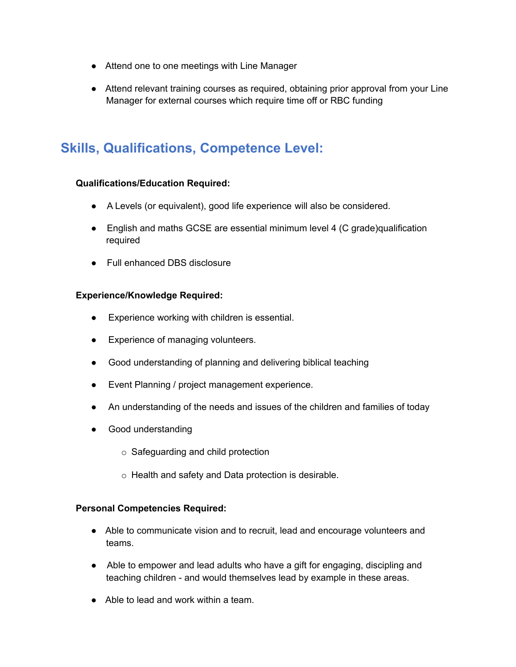- Attend one to one meetings with Line Manager
- Attend relevant training courses as required, obtaining prior approval from your Line Manager for external courses which require time off or RBC funding

### **Skills, Qualifications, Competence Level:**

#### **Qualifications/Education Required:**

- A Levels (or equivalent), good life experience will also be considered.
- English and maths GCSE are essential minimum level 4 (C grade)qualification required
- Full enhanced DBS disclosure

#### **Experience/Knowledge Required:**

- Experience working with children is essential.
- Experience of managing volunteers.
- Good understanding of planning and delivering biblical teaching
- Event Planning / project management experience.
- An understanding of the needs and issues of the children and families of today
- Good understanding
	- o Safeguarding and child protection
	- o Health and safety and Data protection is desirable.

#### **Personal Competencies Required:**

- Able to communicate vision and to recruit, lead and encourage volunteers and teams.
- Able to empower and lead adults who have a gift for engaging, discipling and teaching children - and would themselves lead by example in these areas.
- Able to lead and work within a team.